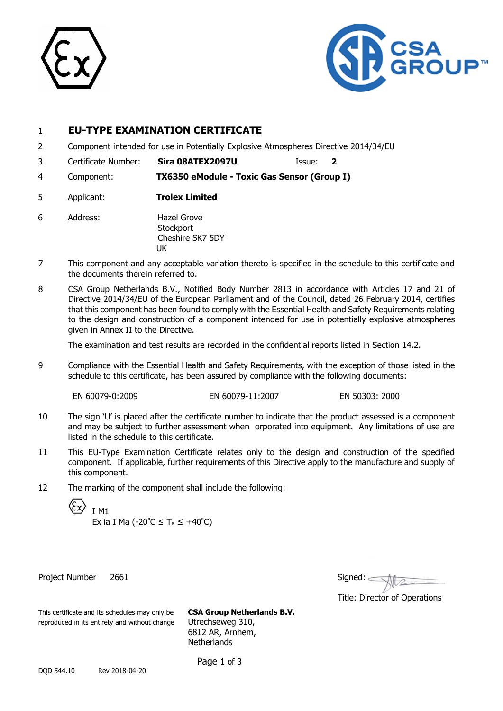



# 1 **EU-TYPE EXAMINATION CERTIFICATE**

- 2 Component intended for use in Potentially Explosive Atmospheres Directive 2014/34/EU
- 3 Certificate Number: **Sira 08ATEX2097U** Issue: **2**
- 4 Component: **TX6350 eModule - Toxic Gas Sensor (Group I)**
- 5 Applicant: **Trolex Limited**
- 6 Address: Hazel Grove **Stockport** Cheshire SK7 5DY UK
- 7 This component and any acceptable variation thereto is specified in the schedule to this certificate and the documents therein referred to.
- 8 CSA Group Netherlands B.V., Notified Body Number 2813 in accordance with Articles 17 and 21 of Directive 2014/34/EU of the European Parliament and of the Council, dated 26 February 2014, certifies that this component has been found to comply with the Essential Health and Safety Requirements relating to the design and construction of a component intended for use in potentially explosive atmospheres given in Annex II to the Directive.

The examination and test results are recorded in the confidential reports listed in Section 14.2.

9 Compliance with the Essential Health and Safety Requirements, with the exception of those listed in the schedule to this certificate, has been assured by compliance with the following documents:

EN 60079-0:2009 EN 60079-11:2007 EN 50303: 2000

- 10 The sign 'U' is placed after the certificate number to indicate that the product assessed is a component and may be subject to further assessment when orporated into equipment. Any limitations of use are listed in the schedule to this certificate.
- 11 This EU-Type Examination Certificate relates only to the design and construction of the specified component. If applicable, further requirements of this Directive apply to the manufacture and supply of this component.
- 12 The marking of the component shall include the following:

I M1 Ex ia I Ma (-20 $^{\circ}$ C  $\leq$  T<sub>a</sub>  $\leq$  +40 $^{\circ}$ C)

Project Number 2661

| Signed:                       |
|-------------------------------|
| Title: Director of Operations |

This certificate and its schedules may only be **CSA Group Netherlands B.V.** reproduced in its entirety and without change Utrechseweg 310,

6812 AR, Arnhem, **Netherlands** 

Page 1 of 3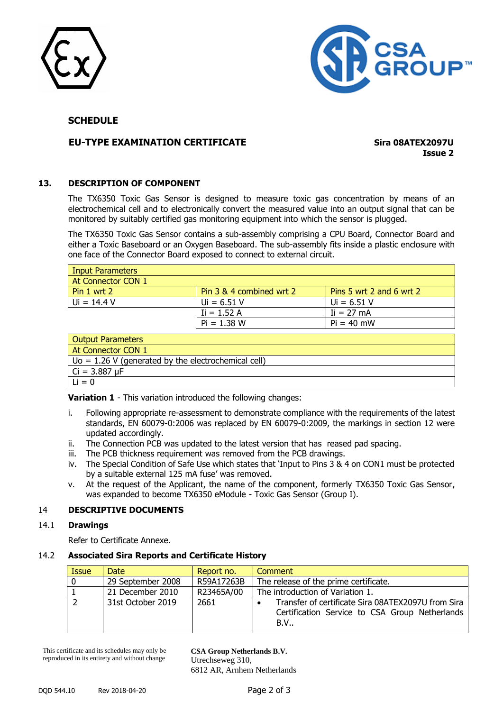



# **SCHEDULE**

# **EU-TYPE EXAMINATION CERTIFICATE Sira 08ATEX2097U**

**Issue 2**

#### **13. DESCRIPTION OF COMPONENT**

The TX6350 Toxic Gas Sensor is designed to measure toxic gas concentration by means of an electrochemical cell and to electronically convert the measured value into an output signal that can be monitored by suitably certified gas monitoring equipment into which the sensor is plugged.

The TX6350 Toxic Gas Sensor contains a sub-assembly comprising a CPU Board, Connector Board and either a Toxic Baseboard or an Oxygen Baseboard. The sub-assembly fits inside a plastic enclosure with one face of the Connector Board exposed to connect to external circuit.

| <b>Input Parameters</b>  |                          |                          |
|--------------------------|--------------------------|--------------------------|
| At Connector CON 1       |                          |                          |
| Pin 1 wrt 2              | Pin 3 & 4 combined wrt 2 | Pins 5 wrt 2 and 6 wrt 2 |
| $Ui = 14.4 V$            | $Ui = 6.51 V$            | $Ui = 6.51 V$            |
|                          | $I = 1.52 A$             | $I = 27 \text{ mA}$      |
|                          | $Pi = 1.38 W$            | $Pi = 40$ mW             |
| <b>Output Parameters</b> |                          |                          |
| At Connector CON 1       |                          |                          |

| <b>I AL CUITICLIUI CUIVIL</b>                          |
|--------------------------------------------------------|
| $U_0 = 1.26$ V (generated by the electrochemical cell) |
| $  Ci = 3.887 \mu F$                                   |
| $Li = 0$                                               |

**Variation 1** - This variation introduced the following changes:

- i. Following appropriate re-assessment to demonstrate compliance with the requirements of the latest standards, EN 60079-0:2006 was replaced by EN 60079-0:2009, the markings in section 12 were updated accordingly.
- ii. The Connection PCB was updated to the latest version that has reased pad spacing.
- iii. The PCB thickness requirement was removed from the PCB drawings.
- iv. The Special Condition of Safe Use which states that 'Input to Pins 3 & 4 on CON1 must be protected by a suitable external 125 mA fuse' was removed.
- v. At the request of the Applicant, the name of the component, formerly TX6350 Toxic Gas Sensor, was expanded to become TX6350 eModule - Toxic Gas Sensor (Group I).

#### 14 **DESCRIPTIVE DOCUMENTS**

#### 14.1 **Drawings**

Refer to Certificate Annexe.

#### 14.2 **Associated Sira Reports and Certificate History**

| <b>Issue</b> | Date              | Report no. | Comment                                                                                                     |
|--------------|-------------------|------------|-------------------------------------------------------------------------------------------------------------|
| $\mathbf 0$  | 29 September 2008 | R59A17263B | The release of the prime certificate.                                                                       |
|              | 21 December 2010  | R23465A/00 | The introduction of Variation 1.                                                                            |
|              | 31st October 2019 | 2661       | Transfer of certificate Sira 08ATEX2097U from Sira<br>Certification Service to CSA Group Netherlands<br>B.V |

This certificate and its schedules may only be reproduced in its entirety and without change

**CSA Group Netherlands B.V.** Utrechseweg 310, 6812 AR, Arnhem Netherlands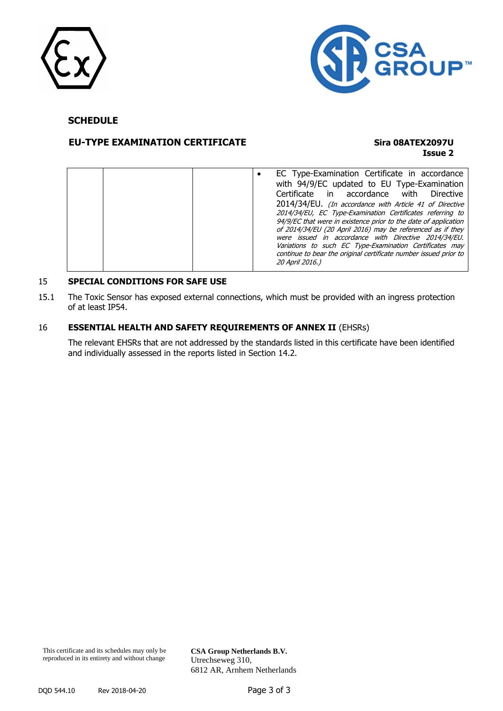



# **SCHEDULE**

# **EU-TYPE EXAMINATION CERTIFICATE Sira 08ATEX2097U**

# **Issue 2**

|  |  | EC Type-Examination Certificate in accordance<br>with 94/9/EC updated to EU Type-Examination<br>Certificate in accordance with<br>Directive<br>2014/34/EU. (In accordance with Article 41 of Directive<br>2014/34/EU, EC Type-Examination Certificates referring to<br>94/9/EC that were in existence prior to the date of application<br>of 2014/34/EU (20 April 2016) may be referenced as if they<br>were issued in accordance with Directive 2014/34/EU.<br>Variations to such EC Type-Examination Certificates may |
|--|--|-------------------------------------------------------------------------------------------------------------------------------------------------------------------------------------------------------------------------------------------------------------------------------------------------------------------------------------------------------------------------------------------------------------------------------------------------------------------------------------------------------------------------|
|  |  | continue to bear the original certificate number issued prior to<br>20 April 2016.)                                                                                                                                                                                                                                                                                                                                                                                                                                     |

# 15 **SPECIAL CONDITIONS FOR SAFE USE**

15.1 The Toxic Sensor has exposed external connections, which must be provided with an ingress protection of at least IP54.

#### 16 **ESSENTIAL HEALTH AND SAFETY REQUIREMENTS OF ANNEX II** (EHSRs)

The relevant EHSRs that are not addressed by the standards listed in this certificate have been identified and individually assessed in the reports listed in Section 14.2.

**CSA Group Netherlands B.V.** Utrechseweg 310, 6812 AR, Arnhem Netherlands